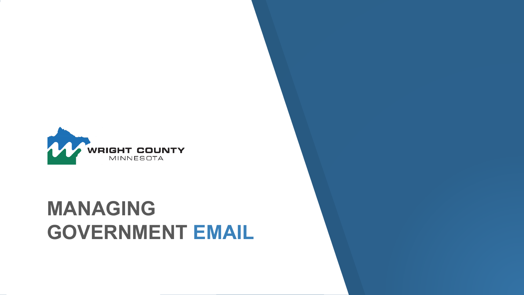

## **MANAGING GOVERNMENT EMAIL**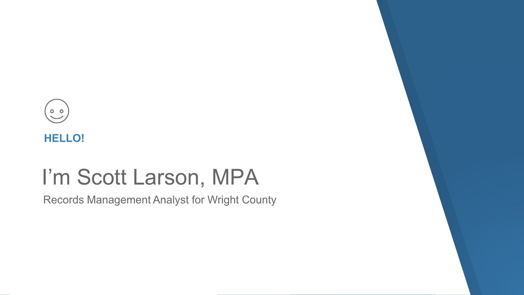



## I'm Scott Larson, MPA

Records Management Analyst for Wright County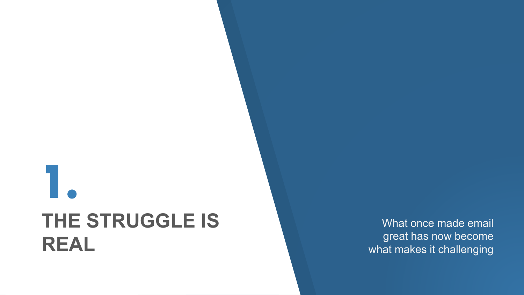# **1. THE STRUGGLE IS REAL**

What once made email great has now become what makes it challenging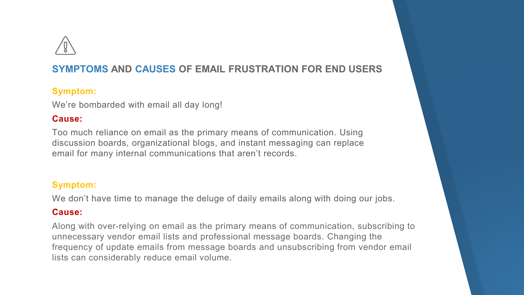

## **SYMPTOMS AND CAUSES OF EMAIL FRUSTRATION FOR END USERS**

#### **Symptom:**

We're bombarded with email all day long!

### **Cause:**

Too much reliance on email as the primary means of communication. Using discussion boards, organizational blogs, and instant messaging can replace email for many internal communications that aren't records.

## **Symptom:**

We don't have time to manage the deluge of daily emails along with doing our jobs.

#### **Cause:**

Along with over-relying on email as the primary means of communication, subscribing to unnecessary vendor email lists and professional message boards. Changing the frequency of update emails from message boards and unsubscribing from vendor email lists can considerably reduce email volume.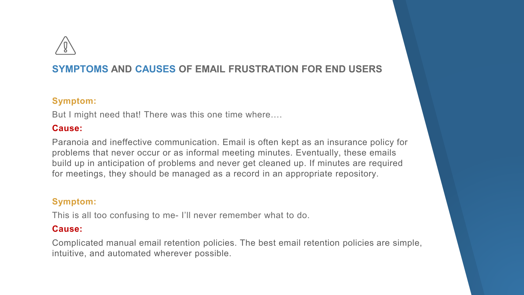

## **SYMPTOMS AND CAUSES OF EMAIL FRUSTRATION FOR END USERS**

#### **Symptom:**

But I might need that! There was this one time where….

#### **Cause:**

Paranoia and ineffective communication. Email is often kept as an insurance policy for problems that never occur or as informal meeting minutes. Eventually, these emails build up in anticipation of problems and never get cleaned up. If minutes are required for meetings, they should be managed as a record in an appropriate repository.

### **Symptom:**

This is all too confusing to me- I'll never remember what to do.

### **Cause:**

Complicated manual email retention policies. The best email retention policies are simple, intuitive, and automated wherever possible.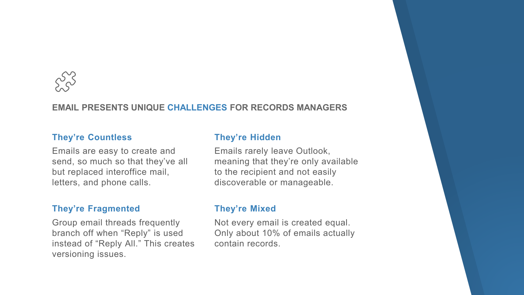

#### **EMAIL PRESENTS UNIQUE CHALLENGES FOR RECORDS MANAGERS**

#### **They're Countless**

Emails are easy to create and send, so much so that they've all but replaced interoffice mail, letters, and phone calls.

#### **They're Fragmented**

Group email threads frequently branch off when "Reply" is used instead of "Reply All." This creates versioning issues.

#### **They're Hidden**

Emails rarely leave Outlook, meaning that they're only available to the recipient and not easily discoverable or manageable.

#### **They're Mixed**

Not every email is created equal. Only about 10% of emails actually contain records.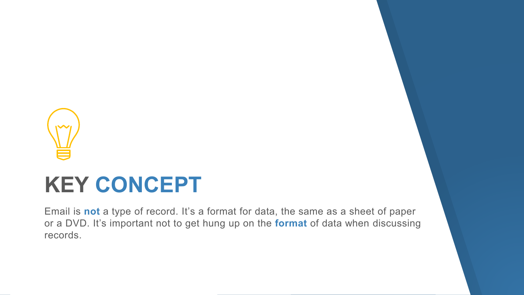

## **KEY CONCEPT**

Email is **not** a type of record. It's a format for data, the same as a sheet of paper or a DVD. It's important not to get hung up on the **format** of data when discussing records.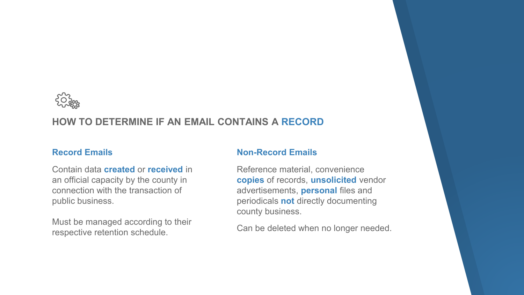

## **HOW TO DETERMINE IF AN EMAIL CONTAINS A RECORD**

#### **Record Emails**

Contain data **created** or **received** in an official capacity by the county in connection with the transaction of public business.

Must be managed according to their respective retention schedule.

#### **Non-Record Emails**

Reference material, convenience **copies** of records, **unsolicited** vendor advertisements, **personal** files and periodicals **not** directly documenting county business.

Can be deleted when no longer needed.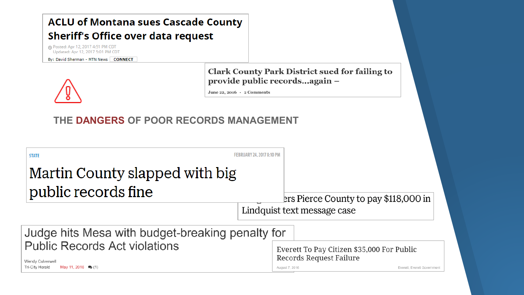## **ACLU of Montana sues Cascade County Sheriff's Office over data request**

® Posted: Apr 12, 2017 4:51 PM CDT Updated: Apr 12, 2017 5:01 PM CDT

By: David Sherman - MTN News CONNECT



**Clark County Park District sued for failing to** provide public records...again -

June 22, 2016 · 2 Comments

## **THE DANGERS OF POOR RECORDS MANAGEMENT**

| <b>STATE</b><br>Martin County slapped with big<br>public records fine | <b>FEBRUARY 24, 2017 8:10 PM</b> |                                                                       | ers Pierce County to pay \$118,000 in |
|-----------------------------------------------------------------------|----------------------------------|-----------------------------------------------------------------------|---------------------------------------|
|                                                                       | Lindquist text message case      |                                                                       |                                       |
| Judge hits Mesa with budget-breaking penalty for                      |                                  |                                                                       |                                       |
| <b>Public Records Act violations</b><br>Wendy Culverwell              |                                  | Everett To Pay Citizen \$35,000 For Public<br>Records Request Failure |                                       |
| May 11, 2016 (1)<br>Tri-City Herald                                   |                                  | August 7, 2016                                                        | Everett, Everett Government           |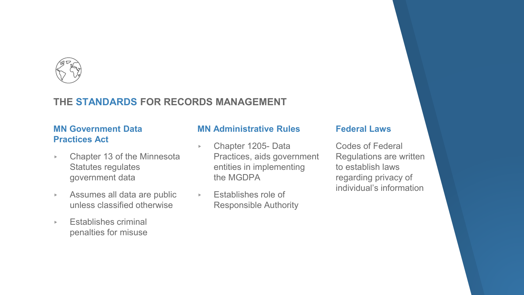

## **THE STANDARDS FOR RECORDS MANAGEMENT**

## **MN Government Data Practices Act**

- ▸ Chapter 13 of the Minnesota Statutes regulates government data
- ▸ Assumes all data are public unless classified otherwise
- ▸ Establishes criminal penalties for misuse

#### **MN Administrative Rules**

- ▸ Chapter 1205- Data Practices, aids government entities in implementing the MGDPA
- ▸ Establishes role of Responsible Authority

#### **Federal Laws**

Codes of Federal Regulations are written to establish laws regarding privacy of individual's information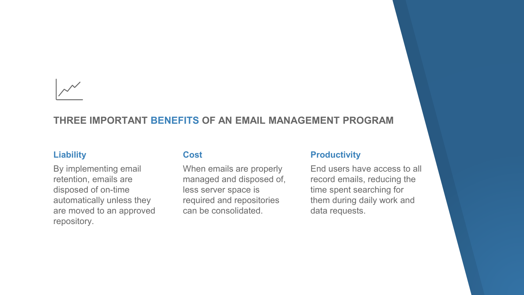

## **THREE IMPORTANT BENEFITS OF AN EMAIL MANAGEMENT PROGRAM**

#### **Liability**

By implementing email retention, emails are disposed of on-time automatically unless they are moved to an approved repository.

#### **Cost**

When emails are properly managed and disposed of, less server space is required and repositories can be consolidated.

#### **Productivity**

End users have access to all record emails, reducing the time spent searching for them during daily work and data requests.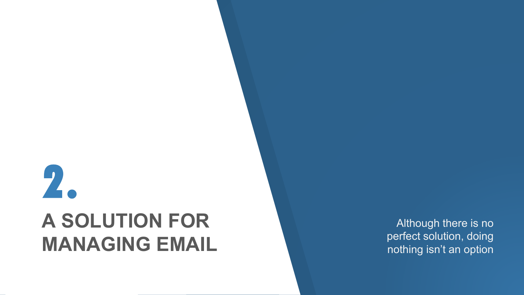# **2. A SOLUTION FOR MANAGING EMAIL**

Although there is no perfect solution, doing nothing isn't an option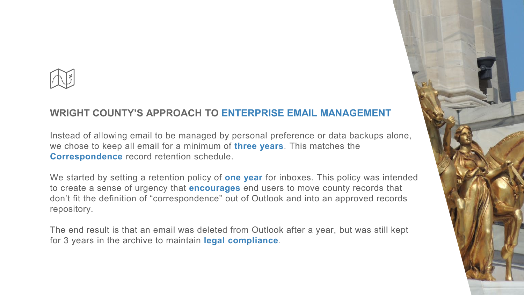

## **WRIGHT COUNTY'S APPROACH TO ENTERPRISE EMAIL MANAGEMENT**

Instead of allowing email to be managed by personal preference or data backups alone, we chose to keep all email for a minimum of **three years**. This matches the **Correspondence** record retention schedule.

We started by setting a retention policy of **one year** for inboxes. This policy was intended to create a sense of urgency that **encourages** end users to move county records that don't fit the definition of "correspondence" out of Outlook and into an approved records repository.

The end result is that an email was deleted from Outlook after a year, but was still kept for 3 years in the archive to maintain **legal compliance**.

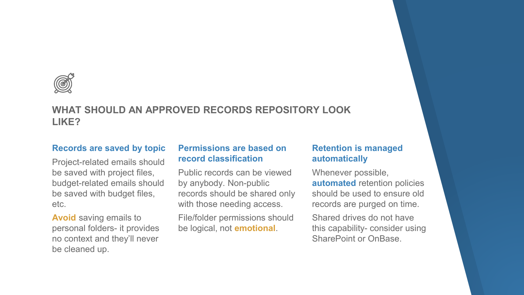

## **WHAT SHOULD AN APPROVED RECORDS REPOSITORY LOOK LIKE?**

#### **Records are saved by topic**

Project-related emails should be saved with project files, budget-related emails should be saved with budget files, etc.

**Avoid** saving emails to personal folders- it provides no context and they'll never be cleaned up.

#### **Permissions are based on record classification**

Public records can be viewed by anybody. Non-public records should be shared only with those needing access.

File/folder permissions should be logical, not **emotional**.

#### **Retention is managed automatically**

Whenever possible, **automated** retention policies should be used to ensure old records are purged on time.

Shared drives do not have this capability- consider using SharePoint or OnBase.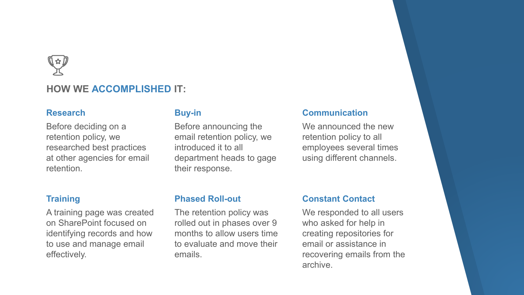

### **HOW WE ACCOMPLISHED IT:**

#### **Research**

Before deciding on a retention policy, we researched best practices at other agencies for email retention.

#### **Training**

A training page was created on SharePoint focused on identifying records and how to use and manage email effectively.

#### **Buy-in**

Before announcing the email retention policy, we introduced it to all department heads to gage their response.

#### **Communication**

We announced the new retention policy to all employees several times using different channels.

#### **Phased Roll-out**

The retention policy was rolled out in phases over 9 months to allow users time to evaluate and move their emails.

#### **Constant Contact**

We responded to all users who asked for help in creating repositories for email or assistance in recovering emails from the archive.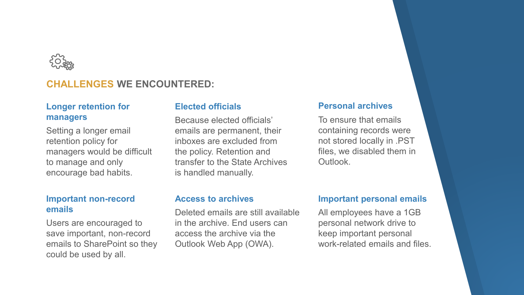

## **CHALLENGES WE ENCOUNTERED:**

#### **Longer retention for managers**

Setting a longer email retention policy for managers would be difficult to manage and only encourage bad habits.

#### **Important non-record emails**

Users are encouraged to save important, non-record emails to SharePoint so they could be used by all.

#### **Elected officials**

Because elected officials' emails are permanent, their inboxes are excluded from the policy. Retention and transfer to the State Archives is handled manually.

#### **Personal archives**

To ensure that emails containing records were not stored locally in .PST files, we disabled them in **Outlook** 

#### **Access to archives**

Deleted emails are still available in the archive. End users can access the archive via the Outlook Web App (OWA).

#### **Important personal emails**

All employees have a 1GB personal network drive to keep important personal work-related emails and files.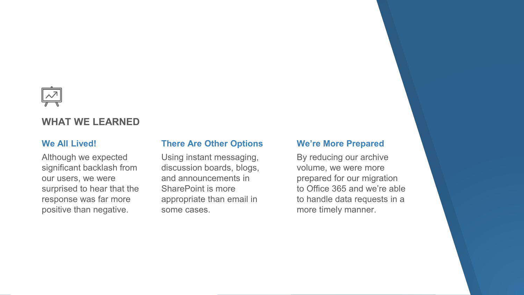

## **WHAT WE LEARNED**

#### **We All Lived!**

Although we expected significant backlash from our users, we were surprised to hear that the response was far more positive than negative.

#### **There Are Other Options**

Using instant messaging, discussion boards, blogs, and announcements in SharePoint is more appropriate than email in some cases.

#### **We're More Prepared**

By reducing our archive volume, we were more prepared for our migration to Office 365 and we're able to handle data requests in a more timely manner.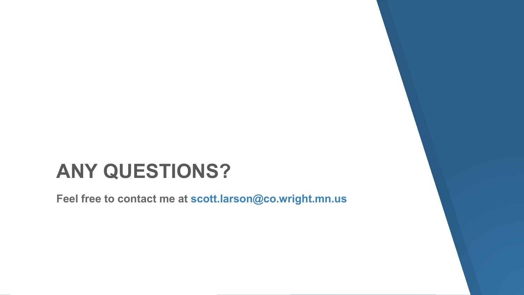## **ANY QUESTIONS?**

**Feel free to contact me at scott.larson@co.wright.mn.us**